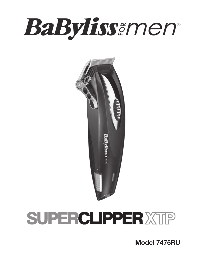# **BaByliss**ĕmen®



# **SUPERCLIPPER XTIP**

Model 7475RU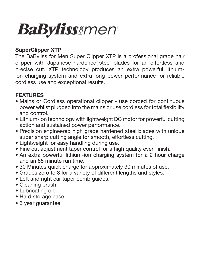# **BaByliss***imen*

#### SuperClipper XTP

The BaByliss for Men Super Clipper XTP is a professional grade hair clipper with Japanese hardened steel blades for an effortless and precise cut. XTP technology produces an extra powerful lithiumion charging system and extra long power performance for reliable cordless use and exceptional results.

#### FEATURES

- Mains or Cordless operational clipper use corded for continuous power whilst plugged into the mains or use cordless for total flexibility and control.
- Lithium-ion technology with lightweight DC motor for powerful cutting action and sustained power performance.
- Precision engineered high grade hardened steel blades with unique super sharp cutting angle for smooth, effortless cutting.
- Lightweight for easy handling during use.
- Fine cut adjustment taper control for a high quality even finish.
- An extra powerful lithium-ion charging system for a 2 hour charge and an 85 minute run time.
- 30 Minutes quick charge for approximately 30 minutes of use.
- Grades zero to 8 for a variety of different lengths and styles.
- Left and right ear taper comb quides.
- Cleaning brush.
- Lubricating oil.
- Hard storage case.
- 5 year guarantee.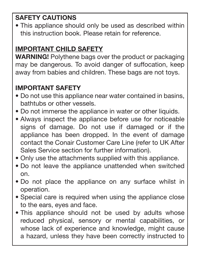## SAFETY CAUTIONS

• This appliance should only be used as described within this instruction book. Please retain for reference.

### IMPORTANT CHILD SAFETY

WARNING! Polythene bags over the product or packaging may be dangerous. To avoid danger of suffocation, keep away from babies and children. These bags are not toys.

## IMPORTANT SAFETY

- Do not use this appliance near water contained in basins, bathtubs or other vessels.
- Do not immerse the appliance in water or other liquids.
- Always inspect the appliance before use for noticeable signs of damage. Do not use if damaged or if the appliance has been dropped. In the event of damage contact the Conair Customer Care Line (refer to UK After Sales Service section for further information).
- Only use the attachments supplied with this appliance.
- Do not leave the appliance unattended when switched on.
- Do not place the appliance on any surface whilst in operation.
- Special care is required when using the appliance close to the ears, eyes and face.
- This appliance should not be used by adults whose reduced physical, sensory or mental capabilities, or whose lack of experience and knowledge, might cause a hazard, unless they have been correctly instructed to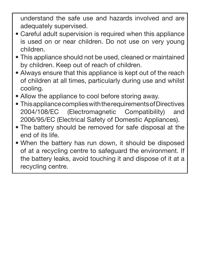understand the safe use and hazards involved and are adequately supervised.

- Careful adult supervision is required when this appliance is used on or near children. Do not use on very young children.
- This appliance should not be used, cleaned or maintained by children. Keep out of reach of children.
- Always ensure that this appliance is kept out of the reach of children at all times, particularly during use and whilst cooling.
- Allow the appliance to cool before storing away.
- This appliance complies with the requirements of Directives 2004/108/EC (Electromagnetic Compatibility) and 2006/95/EC (Electrical Safety of Domestic Appliances).
- The battery should be removed for safe disposal at the end of its life.
- When the battery has run down, it should be disposed of at a recycling centre to safeguard the environment. If the battery leaks, avoid touching it and dispose of it at a recycling centre.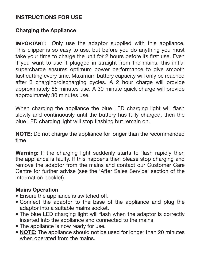#### INSTRUCTIONS FOR USE

#### Charging the Appliance

IMPORTANT! Only use the adaptor supplied with this appliance. This clipper is so easy to use, but before you do anything you must take your time to charge the unit for 2 hours before its first use. Even if you want to use it plugged in straight from the mains, this initial supercharge ensures optimum power performance to give smooth fast cutting every time. Maximum battery capacity will only be reached after 3 charging/discharging cycles. A 2 hour charge will provide approximately 85 minutes use. A 30 minute quick charge will provide approximately 30 minutes use.

When charging the appliance the blue LED charging light will flash slowly and continuously until the battery has fully charged, then the blue LED charging light will stop flashing but remain on.

NOTE: Do not charge the appliance for longer than the recommended time

Warning: If the charging light suddenly starts to flash rapidly then the appliance is faulty. If this happens then please stop charging and remove the adaptor from the mains and contact our Customer Care Centre for further advise (see the 'After Sales Service' section of the information booklet).

#### Mains Operation

- Ensure the appliance is switched off.
- Connect the adaptor to the base of the appliance and plug the adaptor into a suitable mains socket.
- The blue LED charging light will flash when the adaptor is correctly inserted into the appliance and connected to the mains.
- The appliance is now ready for use.
- **NOTE:** The appliance should not be used for longer than 20 minutes when operated from the mains.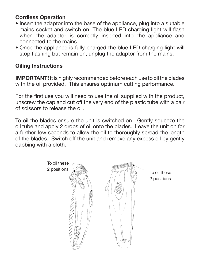#### Cordless Operation

- Insert the adaptor into the base of the appliance, plug into a suitable mains socket and switch on. The blue LED charging light will flash when the adaptor is correctly inserted into the appliance and connected to the mains.
- Once the appliance is fully charged the blue LED charging light will stop flashing but remain on, unplug the adaptor from the mains.

#### Oiling Instructions

IMPORTANT! It is highly recommended before each use to oil the blades with the oil provided. This ensures optimum cutting performance.

For the first use you will need to use the oil supplied with the product, unscrew the cap and cut off the very end of the plastic tube with a pair of scissors to release the oil.

To oil the blades ensure the unit is switched on. Gently squeeze the oil tube and apply 2 drops of oil onto the blades. Leave the unit on for a further few seconds to allow the oil to thoroughly spread the length of the blades. Switch off the unit and remove any excess oil by gently dabbing with a cloth.

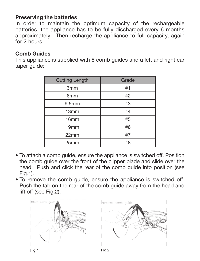#### Preserving the batteries

In order to maintain the optimum capacity of the rechargeable batteries, the appliance has to be fully discharged every 6 months approximately. Then recharge the appliance to full capacity, again for 2 hours.

#### Comb Guides

This appliance is supplied with 8 comb guides and a left and right ear taper guide:

| <b>Cutting Length</b> | Grade |
|-----------------------|-------|
| 3 <sub>mm</sub>       | #1    |
| 6 <sub>mm</sub>       | #2    |
| 9.5 <sub>mm</sub>     | #3    |
| 13mm                  | #4    |
| 16 <sub>mm</sub>      | #5    |
| 19 <sub>mm</sub>      | #6    |
| 22mm                  | #7    |
| 25mm                  | #8    |

- To attach a comb guide, ensure the appliance is switched off. Position the comb guide over the front of the clipper blade and slide over the head. Push and click the rear of the comb guide into position (see Fig.1).
- To remove the comb guide, ensure the appliance is switched off. Push the tab on the rear of the comb guide away from the head and lift off (see Fig.2).

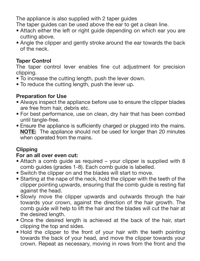The appliance is also supplied with 2 taper guides

The taper guides can be used above the ear to get a clean line.

- Attach either the left or right guide depending on which ear you are cutting above.
- Angle the clipper and gently stroke around the ear towards the back of the neck.

#### Taper Control

The taper control lever enables fine cut adjustment for precision clipping.

- To increase the cutting length, push the lever down.
- To reduce the cutting length, push the lever up.

#### Preparation for Use

- Always inspect the appliance before use to ensure the clipper blades are free from hair, debris etc.
- For best performance, use on clean, dry hair that has been combed until tangle-free.
- Ensure the appliance is sufficiently charged or plugged into the mains. NOTE: The appliance should not be used for longer than 20 minutes when operated from the mains.

#### **Clipping**

#### For an all over even cut:

- Attach a comb guide as required your clipper is supplied with 8 comb guides (grades 1-8). Each comb guide is labelled.
- Switch the clipper on and the blades will start to move.
- Starting at the nape of the neck, hold the clipper with the teeth of the clipper pointing upwards, ensuring that the comb guide is resting flat against the head.
- Slowly move the clipper upwards and outwards through the hair towards your crown, against the direction of the hair growth. The comb guide will help to lift the hair and the blades will cut the hair at the desired length.
- Once the desired length is achieved at the back of the hair, start clipping the top and sides.
- Hold the clipper to the front of your hair with the teeth pointing towards the back of your head, and move the clipper towards your crown. Repeat as necessary, moving in rows from the front and the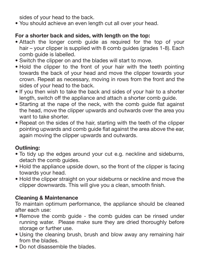sides of your head to the back.

• You should achieve an even length cut all over your head.

#### For a shorter back and sides, with length on the top:

- Attach the longer comb guide as required for the top of your hair – your clipper is supplied with 8 comb quides (grades 1-8). Each comb guide is labelled.
- Switch the clipper on and the blades will start to move.
- Hold the clipper to the front of your hair with the teeth pointing towards the back of your head and move the clipper towards your crown. Repeat as necessary, moving in rows from the front and the sides of your head to the back.
- If you then wish to take the back and sides of your hair to a shorter length, switch off the appliance and attach a shorter comb guide.
- Starting at the nape of the neck, with the comb guide flat against the head, move the clipper upwards and outwards over the area you want to take shorter.
- Repeat on the sides of the hair, starting with the teeth of the clipper pointing upwards and comb guide flat against the area above the ear, again moving the clipper upwards and outwards.

#### Outlining:

- To tidy up the edges around your cut e.g. neckline and sideburns, detach the comb guides.
- Hold the appliance upside down, so the front of the clipper is facing towards your head.
- Hold the clipper straight on your sideburns or neckline and move the clipper downwards. This will give you a clean, smooth finish.

#### Cleaning & Maintenance

To maintain optimum performance, the appliance should be cleaned after each use:

- Remove the comb guide the comb guides can be rinsed under running water. Please make sure they are dried thoroughly before storage or further use.
- Using the cleaning brush, brush and blow away any remaining hair from the blades.
- Do not disassemble the blades.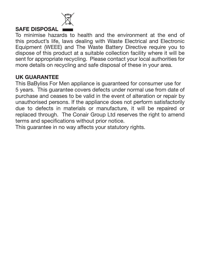

#### SAFE DISPOSAL

To minimise hazards to health and the environment at the end of this product's life, laws dealing with Waste Electrical and Electronic Equipment (WEEE) and The Waste Battery Directive require you to dispose of this product at a suitable collection facility where it will be sent for appropriate recycling. Please contact your local authorities for more details on recycling and safe disposal of these in your area.

#### UK GUARANTEE

This BaByliss For Men appliance is guaranteed for consumer use for 5 years. This guarantee covers defects under normal use from date of purchase and ceases to be valid in the event of alteration or repair by unauthorised persons. If the appliance does not perform satisfactorily due to defects in materials or manufacture, it will be repaired or replaced through. The Conair Group Ltd reserves the right to amend terms and specifications without prior notice.

This guarantee in no way affects your statutory rights.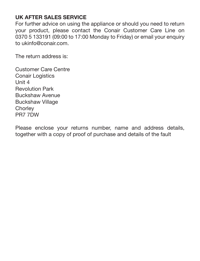#### UK AFTER SALES SERVICE

For further advice on using the appliance or should you need to return your product, please contact the Conair Customer Care Line on 0370 5 133191 (09:00 to 17:00 Monday to Friday) or email your enquiry to ukinfo@conair.com.

The return address is:

Customer Care Centre **Conair Logistics** Unit 4 Revolution Park Buckshaw Avenue Buckshaw Village **Chorley** PR7 7DW

Please enclose your returns number, name and address details, together with a copy of proof of purchase and details of the fault